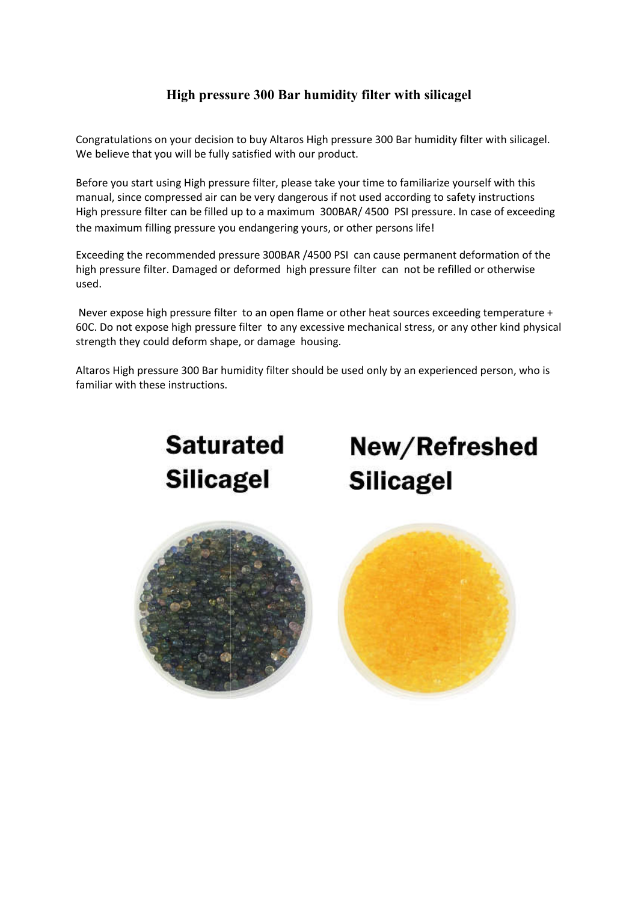## High pressure 300 Bar humidity filter with silicagel 300 Bar humidity filter

Congratulations on your decision to buy Altaros High pressure 300 Bar humidity filter with silicagel. We believe that you will be fully satisfied with our product.

Before you start using High pressure filter, please take your time to familiarize yourself with this manual, since compressed air can be very dangerous if not used according to safety instructions Congratulations on your decision to buy Altaros High pressure 300 Bar humidity filter with silicagel.<br>We believe that you will be fully satisfied with our product.<br>Before you start using High pressure filter, please take y the maximum filling pressure you endangering yours, or other persons life!

Exceeding the recommended pressure 300BAR /4500 PSI can cause permanent deformation of the Exceeding the recommended pressure 300BAR /4500 PSI can cause permanent deformation of t<br>high pressure filter. Damaged or deformed high pressure filter can not be refilled or otherwise used.

Never expose high pressure filter to an open flame or other heat sources exceeding temperature + 60C. Do not expose high pressure filter to any excessive mechanical stress, or any other kind physical strength they could deform shape, or damage housing. 60C. Do not expose high pressure filter to any excessive mechanical stress, or any other kind physic<br>strength they could deform shape, or damage housing.<br>Altaros High pressure 300 Bar humidity filter should be used only

familiar with these instructions.



New/Refreshed **Silicagel**